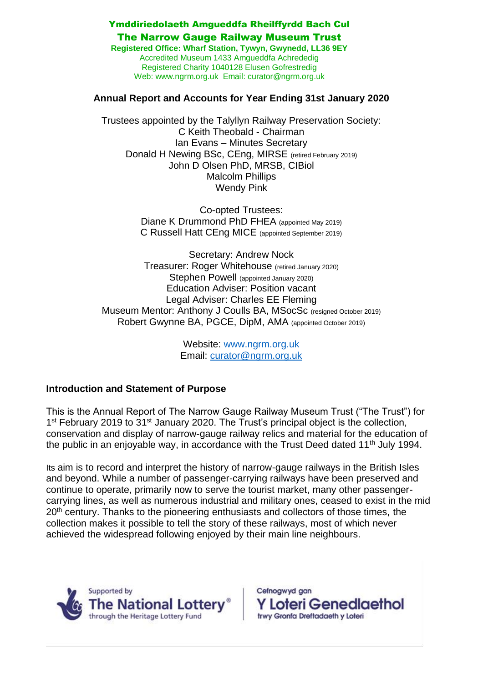### Ymddiriedolaeth Amgueddfa Rheilffyrdd Bach Cul

#### The Narrow Gauge Railway Museum Trust

**Registered Office: Wharf Station, Tywyn, Gwynedd, LL36 9EY**  Accredited Museum 1433 Amgueddfa Achrededig Registered Charity 1040128 Elusen Gofrestredig Web: www.ngrm.org.uk Email: curator@ngrm.org.uk

#### **Annual Report and Accounts for Year Ending 31st January 2020**

Trustees appointed by the Talyllyn Railway Preservation Society: C Keith Theobald - Chairman Ian Evans – Minutes Secretary Donald H Newing BSc, CEng, MIRSE (retired February 2019) John D Olsen PhD, MRSB, CIBiol Malcolm Phillips Wendy Pink

> Co-opted Trustees: Diane K Drummond PhD FHEA (appointed May 2019) C Russell Hatt CEng MICE (appointed September 2019)

Secretary: Andrew Nock Treasurer: Roger Whitehouse (retired January 2020) Stephen Powell (appointed January 2020) Education Adviser: Position vacant Legal Adviser: Charles EE Fleming Museum Mentor: Anthony J Coulls BA, MSocSc (resigned October 2019) Robert Gwynne BA, PGCE, DipM, AMA (appointed October 2019)

> Website: [www.ngrm.org.uk](http://www.ngrm.org.uk/) Email: [curator@ngrm.org.uk](mailto:curator@ngrm.org.uk)

### **Introduction and Statement of Purpose**

This is the Annual Report of The Narrow Gauge Railway Museum Trust ("The Trust") for 1<sup>st</sup> February 2019 to 31<sup>st</sup> January 2020. The Trust's principal object is the collection, conservation and display of narrow-gauge railway relics and material for the education of the public in an enjoyable way, in accordance with the Trust Deed dated  $11<sup>th</sup>$  July 1994.

Its aim is to record and interpret the history of narrow-gauge railways in the British Isles and beyond. While a number of passenger-carrying railways have been preserved and continue to operate, primarily now to serve the tourist market, many other passengercarrying lines, as well as numerous industrial and military ones, ceased to exist in the mid 20<sup>th</sup> century. Thanks to the pioneering enthusiasts and collectors of those times, the collection makes it possible to tell the story of these railways, most of which never achieved the widespread following enjoyed by their main line neighbours.



Cefnogwyd gan **Y Loteri Genediaethol** trwy Gronfa Dreftadaeth y Loteri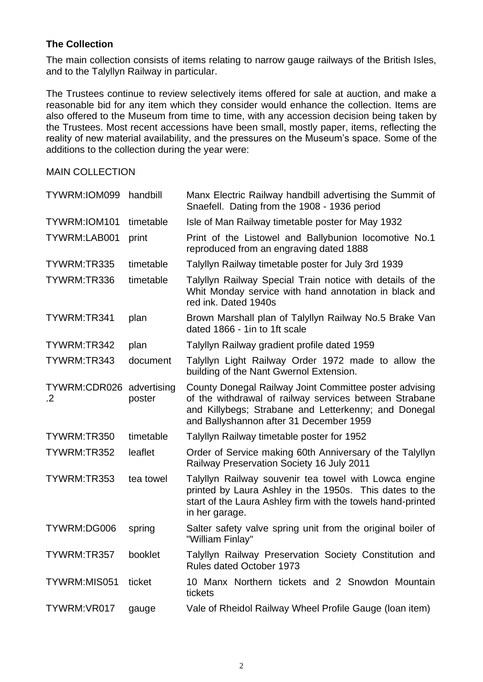### **The Collection**

The main collection consists of items relating to narrow gauge railways of the British Isles, and to the Talyllyn Railway in particular.

The Trustees continue to review selectively items offered for sale at auction, and make a reasonable bid for any item which they consider would enhance the collection. Items are also offered to the Museum from time to time, with any accession decision being taken by the Trustees. Most recent accessions have been small, mostly paper, items, reflecting the reality of new material availability, and the pressures on the Museum's space. Some of the additions to the collection during the year were:

MAIN COLLECTION

| TYWRM:IOM099 handbill                  |           | Manx Electric Railway handbill advertising the Summit of<br>Snaefell. Dating from the 1908 - 1936 period                                                                                                            |
|----------------------------------------|-----------|---------------------------------------------------------------------------------------------------------------------------------------------------------------------------------------------------------------------|
| TYWRM:IOM101                           | timetable | Isle of Man Railway timetable poster for May 1932                                                                                                                                                                   |
| TYWRM:LAB001                           | print     | Print of the Listowel and Ballybunion locomotive No.1<br>reproduced from an engraving dated 1888                                                                                                                    |
| TYWRM:TR335                            | timetable | Talyllyn Railway timetable poster for July 3rd 1939                                                                                                                                                                 |
| TYWRM:TR336                            | timetable | Talyllyn Railway Special Train notice with details of the<br>Whit Monday service with hand annotation in black and<br>red ink. Dated 1940s                                                                          |
| TYWRM:TR341                            | plan      | Brown Marshall plan of Talyllyn Railway No.5 Brake Van<br>dated 1866 - 1in to 1ft scale                                                                                                                             |
| TYWRM:TR342                            | plan      | Talyllyn Railway gradient profile dated 1959                                                                                                                                                                        |
| TYWRM:TR343                            | document  | Talyllyn Light Railway Order 1972 made to allow the<br>building of the Nant Gwernol Extension.                                                                                                                      |
| TYWRM:CDR026 advertising<br>$\cdot$ .2 | poster    | County Donegal Railway Joint Committee poster advising<br>of the withdrawal of railway services between Strabane<br>and Killybegs; Strabane and Letterkenny; and Donegal<br>and Ballyshannon after 31 December 1959 |
| TYWRM:TR350                            | timetable | Talyllyn Railway timetable poster for 1952                                                                                                                                                                          |
| TYWRM:TR352                            | leaflet   | Order of Service making 60th Anniversary of the Talyllyn<br>Railway Preservation Society 16 July 2011                                                                                                               |
| TYWRM:TR353                            | tea towel | Talyllyn Railway souvenir tea towel with Lowca engine<br>printed by Laura Ashley in the 1950s. This dates to the<br>start of the Laura Ashley firm with the towels hand-printed<br>in her garage.                   |
| TYWRM:DG006                            | spring    | Salter safety valve spring unit from the original boiler of<br>"William Finlay"                                                                                                                                     |
| TYWRM:TR357                            | booklet   | Talyllyn Railway Preservation Society Constitution and<br><b>Rules dated October 1973</b>                                                                                                                           |
| TYWRM:MIS051                           | ticket    | 10 Manx Northern tickets and 2 Snowdon Mountain<br>tickets                                                                                                                                                          |
| TYWRM:VR017                            | gauge     | Vale of Rheidol Railway Wheel Profile Gauge (Ioan item)                                                                                                                                                             |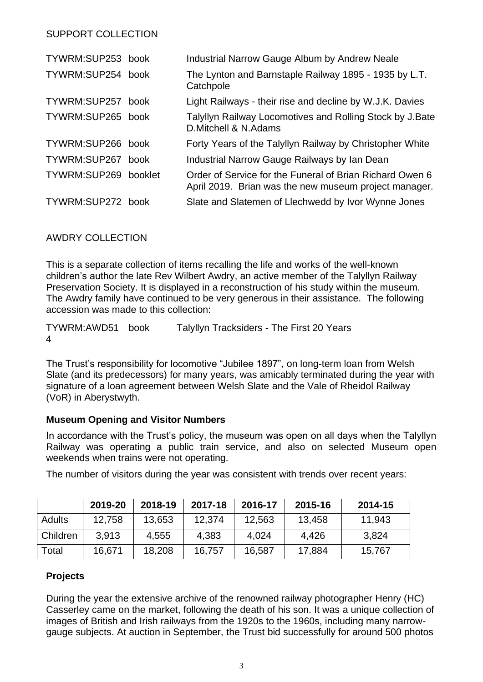## SUPPORT COLLECTION

| TYWRM:SUP253 book |             | Industrial Narrow Gauge Album by Andrew Neale                                                                     |
|-------------------|-------------|-------------------------------------------------------------------------------------------------------------------|
| TYWRM:SUP254 book |             | The Lynton and Barnstaple Railway 1895 - 1935 by L.T.<br>Catchpole                                                |
| TYWRM:SUP257      | book        | Light Railways - their rise and decline by W.J.K. Davies                                                          |
| TYWRM:SUP265 book |             | Talyllyn Railway Locomotives and Rolling Stock by J. Bate<br>D. Mitchell & N. Adams                               |
| TYWRM:SUP266      | book        | Forty Years of the Talyllyn Railway by Christopher White                                                          |
| TYWRM:SUP267      | <b>book</b> | Industrial Narrow Gauge Railways by Ian Dean                                                                      |
| TYWRM:SUP269      | booklet     | Order of Service for the Funeral of Brian Richard Owen 6<br>April 2019. Brian was the new museum project manager. |
| TYWRM:SUP272 book |             | Slate and Slatemen of Llechwedd by Ivor Wynne Jones                                                               |

AWDRY COLLECTION

This is a separate collection of items recalling the life and works of the well-known children's author the late Rev Wilbert Awdry, an active member of the Talyllyn Railway Preservation Society. It is displayed in a reconstruction of his study within the museum. The Awdry family have continued to be very generous in their assistance. The following accession was made to this collection:

TYWRM:AWD51 4 Talyllyn Tracksiders - The First 20 Years

The Trust's responsibility for locomotive "Jubilee 1897", on long-term loan from Welsh Slate (and its predecessors) for many years, was amicably terminated during the year with signature of a loan agreement between Welsh Slate and the Vale of Rheidol Railway (VoR) in Aberystwyth.

### **Museum Opening and Visitor Numbers**

In accordance with the Trust's policy, the museum was open on all days when the Talyllyn Railway was operating a public train service, and also on selected Museum open weekends when trains were not operating.

The number of visitors during the year was consistent with trends over recent years:

|               | 2019-20 | 2018-19 | 2017-18 | 2016-17 | 2015-16 | 2014-15 |
|---------------|---------|---------|---------|---------|---------|---------|
| <b>Adults</b> | 12,758  | 13,653  | 12.374  | 12,563  | 13,458  | 11,943  |
| Children      | 3,913   | 4,555   | 4,383   | 4,024   | 4,426   | 3,824   |
| Total         | 16,671  | 18,208  | 16,757  | 16,587  | 17,884  | 15,767  |

### **Projects**

During the year the extensive archive of the renowned railway photographer Henry (HC) Casserley came on the market, following the death of his son. It was a unique collection of images of British and Irish railways from the 1920s to the 1960s, including many narrowgauge subjects. At auction in September, the Trust bid successfully for around 500 photos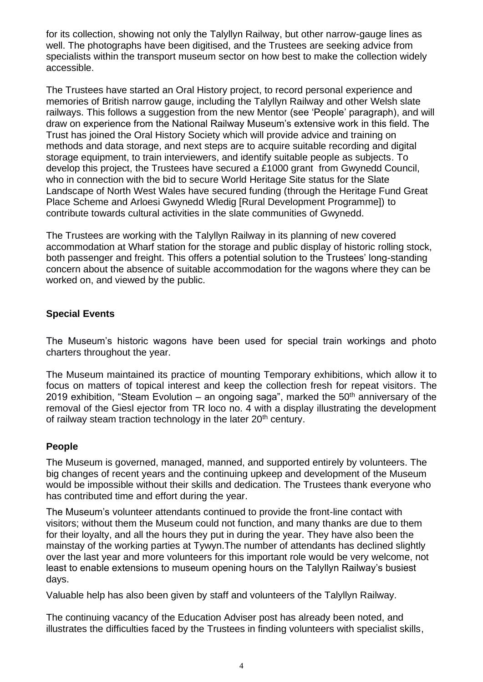for its collection, showing not only the Talyllyn Railway, but other narrow-gauge lines as well. The photographs have been digitised, and the Trustees are seeking advice from specialists within the transport museum sector on how best to make the collection widely accessible.

The Trustees have started an Oral History project, to record personal experience and memories of British narrow gauge, including the Talyllyn Railway and other Welsh slate railways. This follows a suggestion from the new Mentor (see 'People' paragraph), and will draw on experience from the National Railway Museum's extensive work in this field. The Trust has joined the Oral History Society which will provide advice and training on methods and data storage, and next steps are to acquire suitable recording and digital storage equipment, to train interviewers, and identify suitable people as subjects. To develop this project, the Trustees have secured a £1000 grant from Gwynedd Council, who in connection with the bid to secure World Heritage Site status for the Slate Landscape of North West Wales have secured funding (through the Heritage Fund Great Place Scheme and Arloesi Gwynedd Wledig [Rural Development Programme]) to contribute towards cultural activities in the slate communities of Gwynedd.

The Trustees are working with the Talyllyn Railway in its planning of new covered accommodation at Wharf station for the storage and public display of historic rolling stock, both passenger and freight. This offers a potential solution to the Trustees' long-standing concern about the absence of suitable accommodation for the wagons where they can be worked on, and viewed by the public.

### **Special Events**

The Museum's historic wagons have been used for special train workings and photo charters throughout the year.

The Museum maintained its practice of mounting Temporary exhibitions, which allow it to focus on matters of topical interest and keep the collection fresh for repeat visitors. The 2019 exhibition, "Steam Evolution – an ongoing saga", marked the  $50<sup>th</sup>$  anniversary of the removal of the Giesl ejector from TR loco no. 4 with a display illustrating the development of railway steam traction technology in the later 20<sup>th</sup> century.

### **People**

The Museum is governed, managed, manned, and supported entirely by volunteers. The big changes of recent years and the continuing upkeep and development of the Museum would be impossible without their skills and dedication. The Trustees thank everyone who has contributed time and effort during the year.

The Museum's volunteer attendants continued to provide the front-line contact with visitors; without them the Museum could not function, and many thanks are due to them for their loyalty, and all the hours they put in during the year. They have also been the mainstay of the working parties at Tywyn.The number of attendants has declined slightly over the last year and more volunteers for this important role would be very welcome, not least to enable extensions to museum opening hours on the Talyllyn Railway's busiest days.

Valuable help has also been given by staff and volunteers of the Talyllyn Railway.

The continuing vacancy of the Education Adviser post has already been noted, and illustrates the difficulties faced by the Trustees in finding volunteers with specialist skills,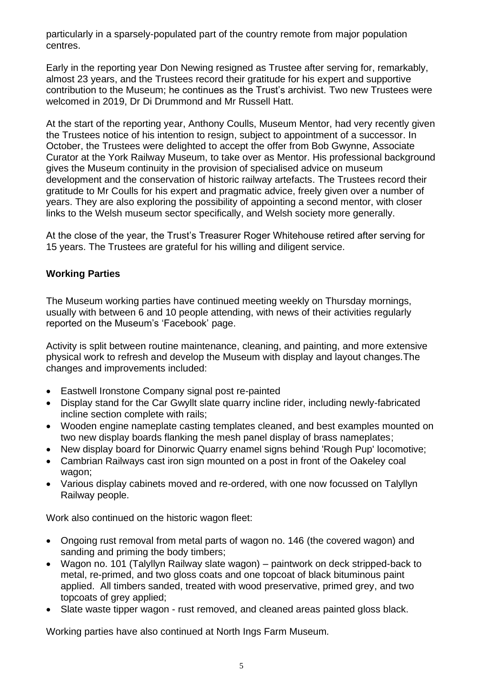particularly in a sparsely-populated part of the country remote from major population centres.

Early in the reporting year Don Newing resigned as Trustee after serving for, remarkably, almost 23 years, and the Trustees record their gratitude for his expert and supportive contribution to the Museum; he continues as the Trust's archivist. Two new Trustees were welcomed in 2019, Dr Di Drummond and Mr Russell Hatt.

At the start of the reporting year, Anthony Coulls, Museum Mentor, had very recently given the Trustees notice of his intention to resign, subject to appointment of a successor. In October, the Trustees were delighted to accept the offer from Bob Gwynne, Associate Curator at the York Railway Museum, to take over as Mentor. His professional background gives the Museum continuity in the provision of specialised advice on museum development and the conservation of historic railway artefacts. The Trustees record their gratitude to Mr Coulls for his expert and pragmatic advice, freely given over a number of years. They are also exploring the possibility of appointing a second mentor, with closer links to the Welsh museum sector specifically, and Welsh society more generally.

At the close of the year, the Trust's Treasurer Roger Whitehouse retired after serving for 15 years. The Trustees are grateful for his willing and diligent service.

# **Working Parties**

The Museum working parties have continued meeting weekly on Thursday mornings, usually with between 6 and 10 people attending, with news of their activities regularly reported on the Museum's 'Facebook' page.

Activity is split between routine maintenance, cleaning, and painting, and more extensive physical work to refresh and develop the Museum with display and layout changes.The changes and improvements included:

- Eastwell Ironstone Company signal post re-painted
- Display stand for the Car Gwyllt slate quarry incline rider, including newly-fabricated incline section complete with rails;
- Wooden engine nameplate casting templates cleaned, and best examples mounted on two new display boards flanking the mesh panel display of brass nameplates;
- New display board for Dinorwic Quarry enamel signs behind 'Rough Pup' locomotive;
- Cambrian Railways cast iron sign mounted on a post in front of the Oakeley coal wagon;
- Various display cabinets moved and re-ordered, with one now focussed on Talyllyn Railway people.

Work also continued on the historic wagon fleet:

- Ongoing rust removal from metal parts of wagon no. 146 (the covered wagon) and sanding and priming the body timbers;
- Wagon no. 101 (Talyllyn Railway slate wagon) paintwork on deck stripped-back to metal, re-primed, and two gloss coats and one topcoat of black bituminous paint applied. All timbers sanded, treated with wood preservative, primed grey, and two topcoats of grey applied;
- Slate waste tipper wagon rust removed, and cleaned areas painted gloss black.

Working parties have also continued at North Ings Farm Museum*.*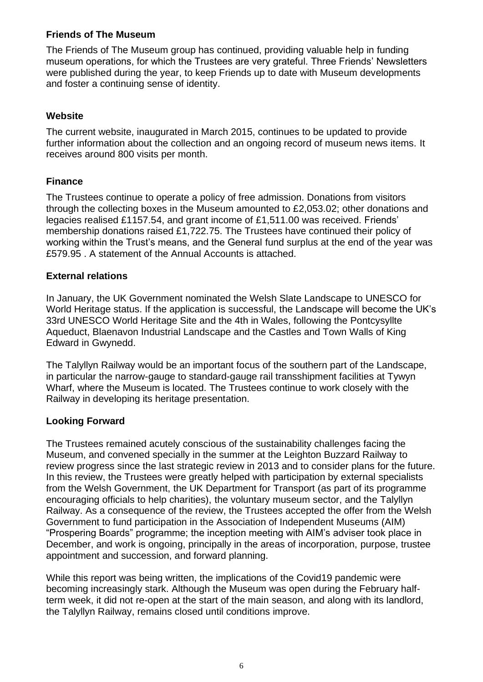## **Friends of The Museum**

The Friends of The Museum group has continued, providing valuable help in funding museum operations, for which the Trustees are very grateful. Three Friends' Newsletters were published during the year, to keep Friends up to date with Museum developments and foster a continuing sense of identity.

## **Website**

The current website, inaugurated in March 2015, continues to be updated to provide further information about the collection and an ongoing record of museum news items. It receives around 800 visits per month.

# **Finance**

The Trustees continue to operate a policy of free admission. Donations from visitors through the collecting boxes in the Museum amounted to £2,053.02; other donations and legacies realised £1157.54, and grant income of £1,511.00 was received. Friends' membership donations raised £1,722.75. The Trustees have continued their policy of working within the Trust's means, and the General fund surplus at the end of the year was £579.95 . A statement of the Annual Accounts is attached.

### **External relations**

In January, the UK Government nominated the Welsh Slate Landscape to UNESCO for World Heritage status. If the application is successful, the Landscape will become the UK's 33rd UNESCO World Heritage Site and the 4th in Wales, following the Pontcysyllte Aqueduct, Blaenavon Industrial Landscape and the Castles and Town Walls of King Edward in Gwynedd.

The Talyllyn Railway would be an important focus of the southern part of the Landscape, in particular the narrow-gauge to standard-gauge rail transshipment facilities at Tywyn Wharf, where the Museum is located. The Trustees continue to work closely with the Railway in developing its heritage presentation.

### **Looking Forward**

The Trustees remained acutely conscious of the sustainability challenges facing the Museum, and convened specially in the summer at the Leighton Buzzard Railway to review progress since the last strategic review in 2013 and to consider plans for the future. In this review, the Trustees were greatly helped with participation by external specialists from the Welsh Government, the UK Department for Transport (as part of its programme encouraging officials to help charities), the voluntary museum sector, and the Talyllyn Railway. As a consequence of the review, the Trustees accepted the offer from the Welsh Government to fund participation in the Association of Independent Museums (AIM) "Prospering Boards" programme; the inception meeting with AIM's adviser took place in December, and work is ongoing, principally in the areas of incorporation, purpose, trustee appointment and succession, and forward planning.

While this report was being written, the implications of the Covid19 pandemic were becoming increasingly stark. Although the Museum was open during the February halfterm week, it did not re-open at the start of the main season, and along with its landlord, the Talyllyn Railway, remains closed until conditions improve.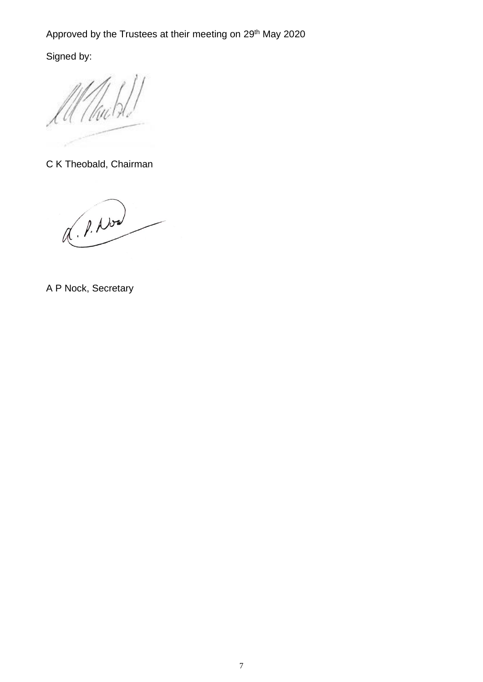Signed by:

C K Theobald, Chairman

Q. P. Now

A P Nock, Secretary